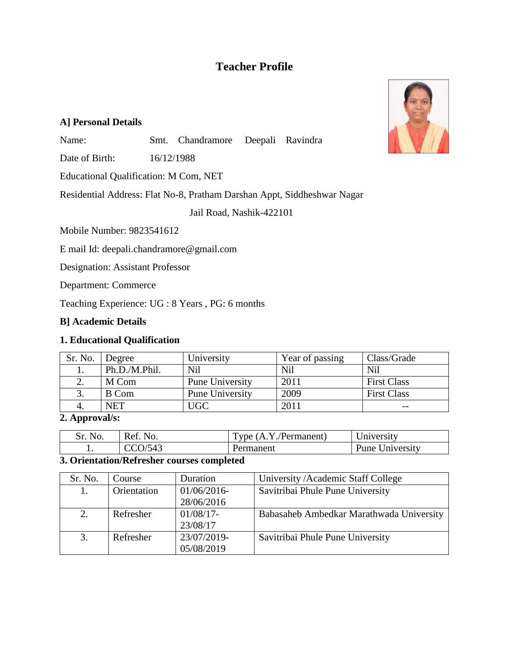# **Teacher Profile**

#### **A] Personal Details**

Name: Smt. Chandramore Deepali Ravindra

Date of Birth: 16/12/1988

Educational Qualification: M Com, NET

Residential Address: Flat No-8, Pratham Darshan Appt, Siddheshwar Nagar

Jail Road, Nashik-422101

Mobile Number: 9823541612

E mail Id: deepali.chandramore@gmail.com

Designation: Assistant Professor

Department: Commerce

Teaching Experience: UG : 8 Years , PG: 6 months

# **B] Academic Details**

# **1. Educational Qualification**

| Sr. No. | Degree        | University      | Year of passing | Class/Grade        |
|---------|---------------|-----------------|-----------------|--------------------|
|         | Ph.D./M.Phil. | Nil             | Nil             | Nil                |
| ـ ت     | M Com         | Pune University | 2011            | <b>First Class</b> |
|         | <b>B</b> Com  | Pune University | 2009            | <b>First Class</b> |
|         | NET           | UGC             | 2011            | $- -$              |

# **2. Approval/s:**

| Sr. f<br>NO. | R et<br>חורו | (Permanent)<br><b>v</b> ne<br>$\Delta$ | Jniversity         |
|--------------|--------------|----------------------------------------|--------------------|
|              | CO/543       | <i>Permanent</i>                       | Jniversity<br>Pune |

#### **3. Orientation/Refresher courses completed**

| Sr. No. | Course      | Duration       | University / Academic Staff College      |
|---------|-------------|----------------|------------------------------------------|
| 1.      | Orientation | $01/06/2016$ - | Savitribai Phule Pune University         |
|         |             | 28/06/2016     |                                          |
| 2.      | Refresher   | $01/08/17$ -   | Babasaheb Ambedkar Marathwada University |
|         |             | 23/08/17       |                                          |
| 3.      | Refresher   | 23/07/2019-    | Savitribai Phule Pune University         |
|         |             | 05/08/2019     |                                          |

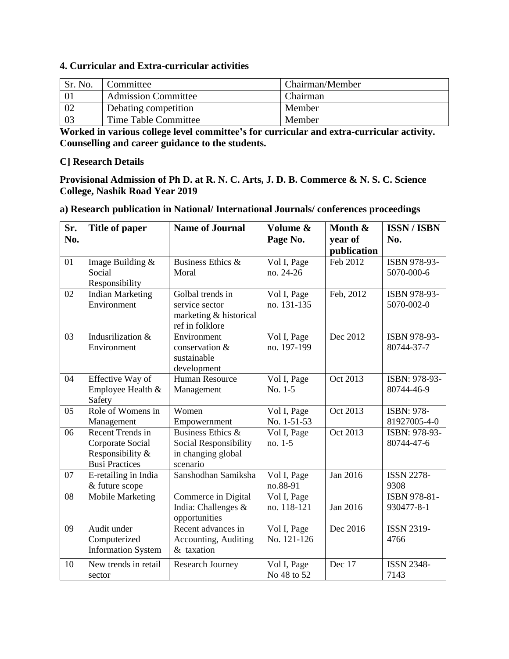#### **4. Curricular and Extra-curricular activities**

| Sr. No. | Committee                  | Chairman/Member |
|---------|----------------------------|-----------------|
|         | <b>Admission Committee</b> | Chairman        |
| 02      | Debating competition       | Member          |
|         | Time Table Committee       | Member          |

**Worked in various college level committee's for curricular and extra-curricular activity. Counselling and career guidance to the students.**

### **C] Research Details**

**Provisional Admission of Ph D. at R. N. C. Arts, J. D. B. Commerce & N. S. C. Science College, Nashik Road Year 2019**

|  | a) Research publication in National/ International Journals/ conferences proceedings |  |  |  |
|--|--------------------------------------------------------------------------------------|--|--|--|
|  |                                                                                      |  |  |  |

| Sr.<br>No. | Title of paper                                                                         | <b>Name of Journal</b>                                                          | Volume &<br>Page No.       | Month &<br>year of<br>publication | <b>ISSN/ISBN</b><br>No.     |
|------------|----------------------------------------------------------------------------------------|---------------------------------------------------------------------------------|----------------------------|-----------------------------------|-----------------------------|
| 01         | Image Building $&$<br>Social<br>Responsibility                                         | Business Ethics &<br>Moral                                                      | Vol I, Page<br>no. 24-26   | Feb 2012                          | ISBN 978-93-<br>5070-000-6  |
| 02         | <b>Indian Marketing</b><br>Environment                                                 | Golbal trends in<br>service sector<br>marketing & historical<br>ref in folklore | Vol I, Page<br>no. 131-135 | Feb, 2012                         | ISBN 978-93-<br>5070-002-0  |
| 03         | Indusrilization &<br>Environment                                                       | Environment<br>conservation &<br>sustainable<br>development                     | Vol I, Page<br>no. 197-199 | Dec 2012                          | ISBN 978-93-<br>80744-37-7  |
| 04         | <b>Human Resource</b><br>Effective Way of<br>Employee Health &<br>Management<br>Safety |                                                                                 | Vol I, Page<br>No. 1-5     | Oct 2013                          | ISBN: 978-93-<br>80744-46-9 |
| 05         | Role of Womens in<br>Management                                                        | Women<br>Empowernment                                                           |                            | Oct 2013                          | ISBN: 978-<br>81927005-4-0  |
| 06         | Recent Trends in<br>Corporate Social<br>Responsibility &<br><b>Busi Practices</b>      | Business Ethics &<br>Social Responsibility<br>in changing global<br>scenario    | Vol I, Page<br>no. 1-5     | Oct 2013                          | ISBN: 978-93-<br>80744-47-6 |
| 07         | E-retailing in India<br>& future scope                                                 | Sanshodhan Samiksha                                                             | Vol I, Page<br>no.88-91    | Jan 2016                          | <b>ISSN 2278-</b><br>9308   |
| 08         | Mobile Marketing                                                                       | Commerce in Digital<br>India: Challenges &<br>opportunities                     | Vol I, Page<br>no. 118-121 | Jan 2016                          | ISBN 978-81-<br>930477-8-1  |
| 09         | Audit under<br>Computerized<br><b>Information System</b>                               | Recent advances in<br>Accounting, Auditing<br>& taxation                        | Vol I, Page<br>No. 121-126 | Dec 2016                          | <b>ISSN 2319-</b><br>4766   |
| 10         | New trends in retail<br>sector                                                         | <b>Research Journey</b>                                                         | Vol I, Page<br>No 48 to 52 | Dec 17                            | <b>ISSN 2348-</b><br>7143   |